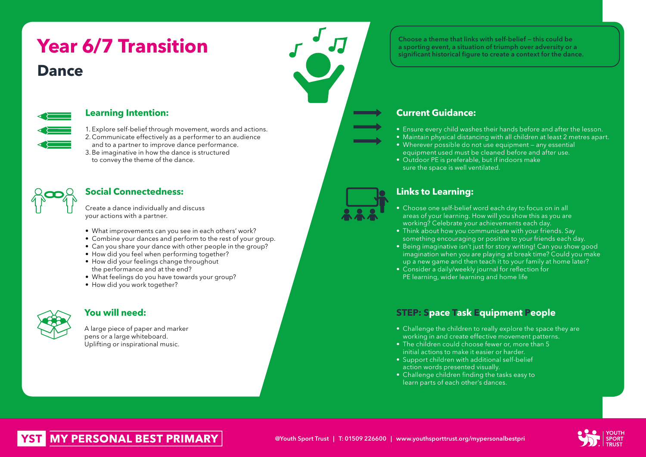# **Year 6/7 Transition Dance**



## **Learning Intention:**

1. Explore self-belief through movement, words and actions. 2. Communicate effectively as a performer to an audience and to a partner to improve dance performance.

3.Be imaginative in how the dance is structured to convey the theme of the dance.



## **Social Connectedness:**

Create a dance individually and discuss your actions with a partner.

- What improvements can you see in each others' work?
- Combine your dances and perform to the rest of your group.
- Can you share your dance with other people in the group?
- How did you feel when performing together?
- How did your feelings change throughout the performance and at the end?
- What feelings do you have towards your group?
- How did you work together?



## **You will need:**

A large piece of paper and marker pens or a large whiteboard. Uplifting or inspirational music.

Choose a theme that links with self-belief — this could be a sporting event, a situation of triumph over adversity or a significant historical figure to create a context for the dance.

## **Current Guidance:**

- Ensure every child washes their hands before and after the lesson.
- Maintain physical distancing with all children at least 2 metres apart.
- Wherever possible do not use equipment any essential equipment used must be cleaned before and after use.
- Outdoor PE is preferable, but if indoors make sure the space is well ventilated.

## **Links to Learning:**

- Choose one self-belief word each day to focus on in all areas of your learning. How will you show this as you are working? Celebrate your achievements each day.
- Think about how you communicate with your friends. Say something encouraging or positive to your friends each day.
- Being imaginative isn't just for story writing! Can you show good imagination when you are playing at break time? Could you make up a new game and then teach it to your family at home later?
- Consider a daily/weekly journal for reflection for PE learning, wider learning and home life

## **STEP: Space Task Equipment People**

- Challenge the children to really explore the space they are working in and create effective movement patterns.
- The children could choose fewer or, more than 5 initial actions to make it easier or harder.
- Support children with additional self-belief action words presented visually.
- Challenge children finding the tasks easy to learn parts of each other's dances.



# **MY PERSONAL BEST PRIMARY**